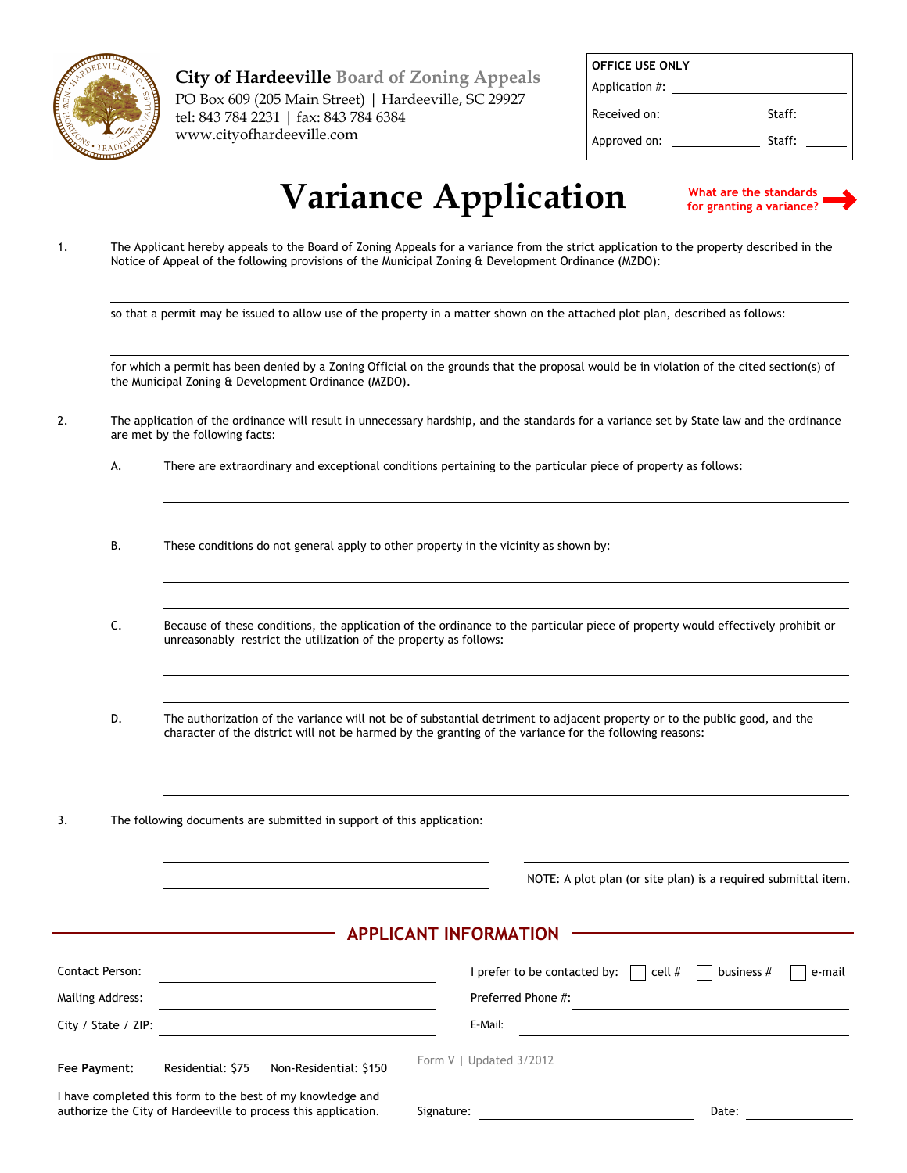

**City of Hardeeville Board of Zoning Appeals** PO Box 609 (205 Main Street) | Hardeeville, SC 29927 tel: 843 784 2231 | fax: 843 784 6384 www.cityofhardeeville.com

| <b>OFFICE USE ONLY</b> |        |  |  |  |  |
|------------------------|--------|--|--|--|--|
| Application #:         |        |  |  |  |  |
| Received on:           | Staff: |  |  |  |  |
| Approved on:           | Staff: |  |  |  |  |

## **Variance Application**

**What are the standards for granting a variance?**

The Applicant hereby appeals to the Board of Zoning Appeals for a variance from the strict application to the property described in the Notice of Appeal of the following provisions of the Municipal Zoning & Development Ordinance (MZDO): 1.

so that a permit may be issued to allow use of the property in a matter shown on the attached plot plan, described as follows:

for which a permit has been denied by a Zoning Official on the grounds that the proposal would be in violation of the cited section(s) of the Municipal Zoning & Development Ordinance (MZDO).

- The application of the ordinance will result in unnecessary hardship, and the standards for a variance set by State law and the ordinance are met by the following facts: 2.
	- A. There are extraordinary and exceptional conditions pertaining to the particular piece of property as follows:
	- B. These conditions do not general apply to other property in the vicinity as shown by:
	- C. Because of these conditions, the application of the ordinance to the particular piece of property would effectively prohibit or unreasonably restrict the utilization of the property as follows:
	- D. The authorization of the variance will not be of substantial detriment to adjacent property or to the public good, and the character of the district will not be harmed by the granting of the variance for the following reasons:
- 3. The following documents are submitted in support of this application:

NOTE: A plot plan (or site plan) is a required submittal item.

## **APPLICANT INFORMATION**

| <b>Contact Person:</b>                                                                                                       |                   |                        |  |                         | I prefer to be contacted by: $\Box$ cell # | business # | e-mail |
|------------------------------------------------------------------------------------------------------------------------------|-------------------|------------------------|--|-------------------------|--------------------------------------------|------------|--------|
| Mailing Address:                                                                                                             |                   |                        |  | Preferred Phone #:      |                                            |            |        |
| City / State / ZIP:                                                                                                          |                   |                        |  | E-Mail:                 |                                            |            |        |
| Fee Payment:                                                                                                                 | Residential: \$75 | Non-Residential: \$150 |  | Form V   Updated 3/2012 |                                            |            |        |
| I have completed this form to the best of my knowledge and<br>authorize the City of Hardeeville to process this application. |                   | Signature:             |  |                         | Date:                                      |            |        |